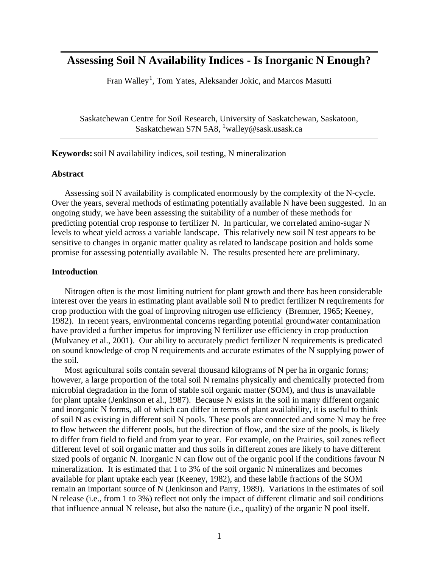# **Assessing Soil N Availability Indices - Is Inorganic N Enough?**

Fran Walley<sup>1</sup>, Tom Yates, Aleksander Jokic, and Marcos Masutti

Saskatchewan Centre for Soil Research, University of Saskatchewan, Saskatoon, Saskatchewan S7N 5A8, <sup>1</sup>walley@sask.usask.ca

**Keywords:** soil N availability indices, soil testing, N mineralization

#### **Abstract**

Assessing soil N availability is complicated enormously by the complexity of the N-cycle. Over the years, several methods of estimating potentially available N have been suggested. In an ongoing study, we have been assessing the suitability of a number of these methods for predicting potential crop response to fertilizer N. In particular, we correlated amino-sugar N levels to wheat yield across a variable landscape. This relatively new soil N test appears to be sensitive to changes in organic matter quality as related to landscape position and holds some promise for assessing potentially available N. The results presented here are preliminary.

### **Introduction**

Nitrogen often is the most limiting nutrient for plant growth and there has been considerable interest over the years in estimating plant available soil N to predict fertilizer N requirements for crop production with the goal of improving nitrogen use efficiency (Bremner, 1965; Keeney, 1982). In recent years, environmental concerns regarding potential groundwater contamination have provided a further impetus for improving N fertilizer use efficiency in crop production (Mulvaney et al., 2001). Our ability to accurately predict fertilizer N requirements is predicated on sound knowledge of crop N requirements and accurate estimates of the N supplying power of the soil.

Most agricultural soils contain several thousand kilograms of N per ha in organic forms; however, a large proportion of the total soil N remains physically and chemically protected from microbial degradation in the form of stable soil organic matter (SOM), and thus is unavailable for plant uptake (Jenkinson et al., 1987). Because N exists in the soil in many different organic and inorganic N forms, all of which can differ in terms of plant availability, it is useful to think of soil N as existing in different soil N pools. These pools are connected and some N may be free to flow between the different pools, but the direction of flow, and the size of the pools, is likely to differ from field to field and from year to year. For example, on the Prairies, soil zones reflect different level of soil organic matter and thus soils in different zones are likely to have different sized pools of organic N. Inorganic N can flow out of the organic pool if the conditions favour N mineralization. It is estimated that 1 to 3% of the soil organic N mineralizes and becomes available for plant uptake each year (Keeney, 1982), and these labile fractions of the SOM remain an important source of N (Jenkinson and Parry, 1989). Variations in the estimates of soil N release (i.e., from 1 to 3%) reflect not only the impact of different climatic and soil conditions that influence annual N release, but also the nature (i.e., quality) of the organic N pool itself.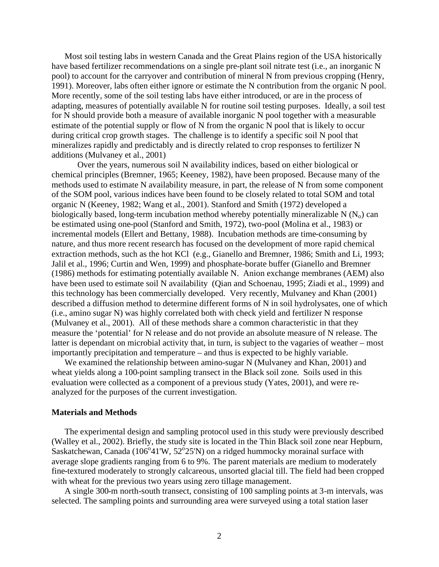Most soil testing labs in western Canada and the Great Plains region of the USA historically have based fertilizer recommendations on a single pre-plant soil nitrate test (i.e., an inorganic N pool) to account for the carryover and contribution of mineral N from previous cropping (Henry, 1991). Moreover, labs often either ignore or estimate the N contribution from the organic N pool. More recently, some of the soil testing labs have either introduced, or are in the process of adapting, measures of potentially available N for routine soil testing purposes. Ideally, a soil test for N should provide both a measure of available inorganic N pool together with a measurable estimate of the potential supply or flow of N from the organic N pool that is likely to occur during critical crop growth stages. The challenge is to identify a specific soil N pool that mineralizes rapidly and predictably and is directly related to crop responses to fertilizer N additions (Mulvaney et al., 2001)

Over the years, numerous soil N availability indices, based on either biological or chemical principles (Bremner, 1965; Keeney, 1982), have been proposed. Because many of the methods used to estimate N availability measure, in part, the release of N from some component of the SOM pool, various indices have been found to be closely related to total SOM and total organic N (Keeney, 1982; Wang et al., 2001). Stanford and Smith (1972) developed a biologically based, long-term incubation method whereby potentially mineralizable N  $(N_0)$  can be estimated using one-pool (Stanford and Smith, 1972), two-pool (Molina et al., 1983) or incremental models (Ellert and Bettany, 1988). Incubation methods are time-consuming by nature, and thus more recent research has focused on the development of more rapid chemical extraction methods, such as the hot KCl (e.g., Gianello and Bremner, 1986; Smith and Li, 1993; Jalil et al., 1996; Curtin and Wen, 1999) and phosphate-borate buffer (Gianello and Bremner (1986) methods for estimating potentially available N. Anion exchange membranes (AEM) also have been used to estimate soil N availability (Qian and Schoenau, 1995; Ziadi et al., 1999) and this technology has been commercially developed. Very recently, Mulvaney and Khan (2001) described a diffusion method to determine different forms of N in soil hydrolysates, one of which (i.e., amino sugar N) was highly correlated both with check yield and fertilizer N response (Mulvaney et al., 2001). All of these methods share a common characteristic in that they measure the 'potential' for N release and do not provide an absolute measure of N release. The latter is dependant on microbial activity that, in turn, is subject to the vagaries of weather – most importantly precipitation and temperature – and thus is expected to be highly variable.

We examined the relationship between amino-sugar N (Mulvaney and Khan, 2001) and wheat yields along a 100-point sampling transect in the Black soil zone. Soils used in this evaluation were collected as a component of a previous study (Yates, 2001), and were reanalyzed for the purposes of the current investigation.

#### **Materials and Methods**

The experimental design and sampling protocol used in this study were previously described (Walley et al., 2002). Briefly, the study site is located in the Thin Black soil zone near Hepburn, Saskatchewan, Canada (106 $\degree$ 41'W, 52 $\degree$ 25'N) on a ridged hummocky morainal surface with average slope gradients ranging from 6 to 9%. The parent materials are medium to moderately fine-textured moderately to strongly calcareous, unsorted glacial till. The field had been cropped with wheat for the previous two years using zero tillage management.

A single 300-m north-south transect, consisting of 100 sampling points at 3-m intervals, was selected. The sampling points and surrounding area were surveyed using a total station laser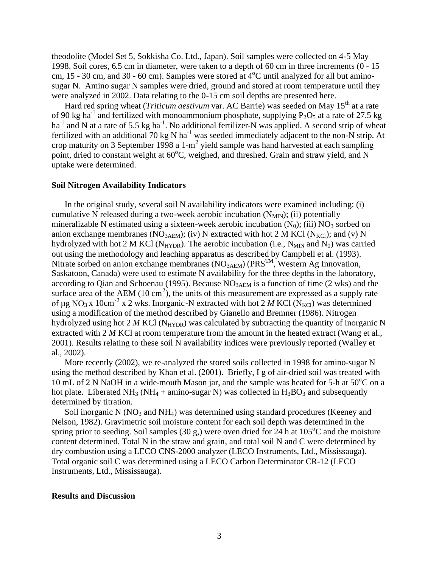theodolite (Model Set 5, Sokkisha Co. Ltd., Japan). Soil samples were collected on 4-5 May 1998. Soil cores, 6.5 cm in diameter, were taken to a depth of 60 cm in three increments (0 - 15 cm, 15 - 30 cm, and 30 - 60 cm). Samples were stored at  $4^{\circ}$ C until analyzed for all but aminosugar N. Amino sugar N samples were dried, ground and stored at room temperature until they were analyzed in 2002. Data relating to the 0-15 cm soil depths are presented here.

Hard red spring wheat (*Triticum aestivum var. AC Barrie*) was seeded on May 15<sup>th</sup> at a rate of 90 kg ha<sup>-1</sup> and fertilized with monoammonium phosphate, supplying  $P_2O_5$  at a rate of 27.5 kg ha<sup>-1</sup> and N at a rate of 5.5 kg ha<sup>-1</sup>. No additional fertilizer-N was applied. A second strip of wheat fertilized with an additional 70 kg N ha<sup>-1</sup> was seeded immediately adjacent to the non-N strip. At crop maturity on 3 September 1998 a 1-m<sup>2</sup> yield sample was hand harvested at each sampling point, dried to constant weight at  $60^{\circ}$ C, weighed, and threshed. Grain and straw yield, and N uptake were determined.

### **Soil Nitrogen Availability Indicators**

In the original study, several soil N availability indicators were examined including: (i) cumulative N released during a two-week aerobic incubation  $(N_{MIN})$ ; (ii) potentially mineralizable N estimated using a sixteen-week aerobic incubation  $(N_0)$ ; (iii)  $NO_3$  sorbed on anion exchange membranes (NO<sub>3AEM</sub>); (iv) N extracted with hot 2 M KCl (N<sub>KCl</sub>); and (v) N hydrolyzed with hot 2 M KCl ( $N_{HYDR}$ ). The aerobic incubation (i.e.,  $N_{MIN}$  and  $N_0$ ) was carried out using the methodology and leaching apparatus as described by Campbell et al. (1993). Nitrate sorbed on anion exchange membranes (NO<sub>3AEM</sub>) (PRS<sup>TM</sup>, Western Ag Innovation, Saskatoon, Canada) were used to estimate N availability for the three depths in the laboratory, according to Qian and Schoenau (1995). Because  $NO<sub>3AEM</sub>$  is a function of time (2 wks) and the surface area of the AEM (10 cm<sup>2</sup>), the units of this measurement are expressed as a supply rate of  $\mu$ g NO<sub>3</sub> x 10cm<sup>-2</sup> x 2 wks. Inorganic-N extracted with hot 2 *M* KCl (N<sub>KCl</sub>) was determined using a modification of the method described by Gianello and Bremner (1986). Nitrogen hydrolyzed using hot 2  $M$  KCl (N<sub>HYDR</sub>) was calculated by subtracting the quantity of inorganic N extracted with 2 *M* KCl at room temperature from the amount in the heated extract (Wang et al., 2001). Results relating to these soil N availability indices were previously reported (Walley et al., 2002).

More recently (2002), we re-analyzed the stored soils collected in 1998 for amino-sugar N using the method described by Khan et al. (2001). Briefly, I g of air-dried soil was treated with 10 mL of 2 N NaOH in a wide-mouth Mason jar, and the sample was heated for 5-h at  $50^{\circ}$ C on a hot plate. Liberated NH<sub>3</sub> (NH<sub>4</sub> + amino-sugar N) was collected in H<sub>3</sub>BO<sub>3</sub> and subsequently determined by titration.

Soil inorganic N  $(NO<sub>3</sub>$  and NH<sub>4</sub>) was determined using standard procedures (Keeney and Nelson, 1982). Gravimetric soil moisture content for each soil depth was determined in the spring prior to seeding. Soil samples (30 g,) were oven dried for 24 h at  $105^{\circ}$ C and the moisture content determined. Total N in the straw and grain, and total soil N and C were determined by dry combustion using a LECO CNS-2000 analyzer (LECO Instruments, Ltd., Mississauga). Total organic soil C was determined using a LECO Carbon Determinator CR-12 (LECO Instruments, Ltd., Mississauga).

## **Results and Discussion**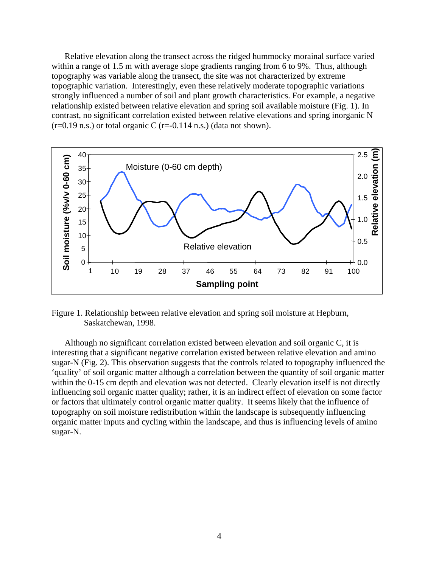Relative elevation along the transect across the ridged hummocky morainal surface varied within a range of 1.5 m with average slope gradients ranging from 6 to 9%. Thus, although topography was variable along the transect, the site was not characterized by extreme topographic variation. Interestingly, even these relatively moderate topographic variations strongly influenced a number of soil and plant growth characteristics. For example, a negative relationship existed between relative elevation and spring soil available moisture (Fig. 1). In contrast, no significant correlation existed between relative elevations and spring inorganic N  $(r=0.19 \text{ n.s.})$  or total organic C  $(r=-0.114 \text{ n.s.})$  (data not shown).



Figure 1. Relationship between relative elevation and spring soil moisture at Hepburn, Saskatchewan, 1998.

Although no significant correlation existed between elevation and soil organic C, it is interesting that a significant negative correlation existed between relative elevation and amino sugar-N (Fig. 2). This observation suggests that the controls related to topography influenced the 'quality' of soil organic matter although a correlation between the quantity of soil organic matter within the 0-15 cm depth and elevation was not detected. Clearly elevation itself is not directly influencing soil organic matter quality; rather, it is an indirect effect of elevation on some factor or factors that ultimately control organic matter quality. It seems likely that the influence of topography on soil moisture redistribution within the landscape is subsequently influencing organic matter inputs and cycling within the landscape, and thus is influencing levels of amino sugar-N.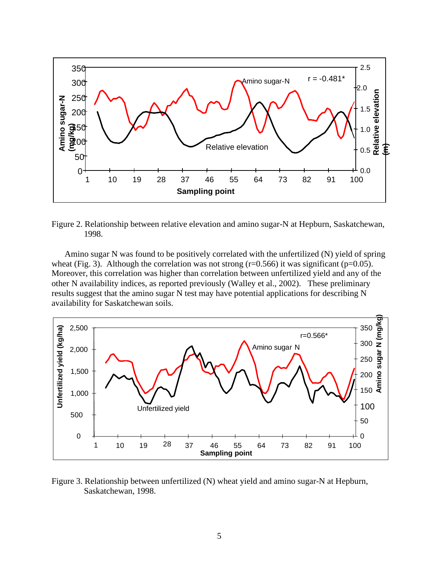

Figure 2. Relationship between relative elevation and amino sugar-N at Hepburn, Saskatchewan, 1998.

Amino sugar N was found to be positively correlated with the unfertilized (N) yield of spring wheat (Fig. 3). Although the correlation was not strong ( $r=0.566$ ) it was significant ( $p=0.05$ ). Moreover, this correlation was higher than correlation between unfertilized yield and any of the other N availability indices, as reported previously (Walley et al., 2002). These preliminary results suggest that the amino sugar N test may have potential applications for describing N availability for Saskatchewan soils.



Figure 3. Relationship between unfertilized (N) wheat yield and amino sugar-N at Hepburn, Saskatchewan, 1998.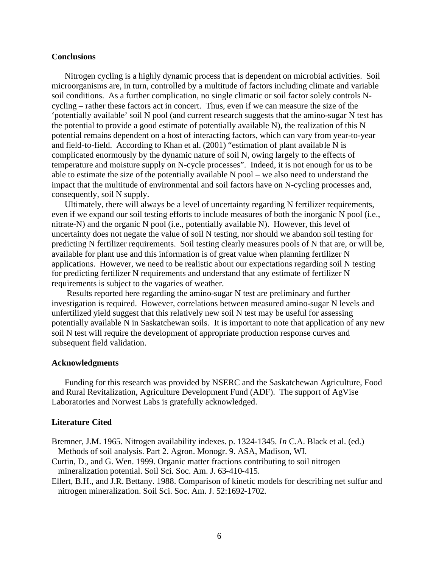### **Conclusions**

Nitrogen cycling is a highly dynamic process that is dependent on microbial activities. Soil microorganisms are, in turn, controlled by a multitude of factors including climate and variable soil conditions. As a further complication, no single climatic or soil factor solely controls Ncycling – rather these factors act in concert. Thus, even if we can measure the size of the 'potentially available' soil N pool (and current research suggests that the amino-sugar N test has the potential to provide a good estimate of potentially available N), the realization of this N potential remains dependent on a host of interacting factors, which can vary from year-to-year and field-to-field. According to Khan et al. (2001) "estimation of plant available N is complicated enormously by the dynamic nature of soil N, owing largely to the effects of temperature and moisture supply on N-cycle processes". Indeed, it is not enough for us to be able to estimate the size of the potentially available N pool – we also need to understand the impact that the multitude of environmental and soil factors have on N-cycling processes and, consequently, soil N supply.

Ultimately, there will always be a level of uncertainty regarding N fertilizer requirements, even if we expand our soil testing efforts to include measures of both the inorganic N pool (i.e., nitrate-N) and the organic N pool (i.e., potentially available N). However, this level of uncertainty does not negate the value of soil N testing, nor should we abandon soil testing for predicting N fertilizer requirements. Soil testing clearly measures pools of N that are, or will be, available for plant use and this information is of great value when planning fertilizer N applications. However, we need to be realistic about our expectations regarding soil N testing for predicting fertilizer N requirements and understand that any estimate of fertilizer N requirements is subject to the vagaries of weather.

Results reported here regarding the amino-sugar N test are preliminary and further investigation is required. However, correlations between measured amino-sugar N levels and unfertilized yield suggest that this relatively new soil N test may be useful for assessing potentially available N in Saskatchewan soils. It is important to note that application of any new soil N test will require the development of appropriate production response curves and subsequent field validation.

#### **Acknowledgments**

Funding for this research was provided by NSERC and the Saskatchewan Agriculture, Food and Rural Revitalization, Agriculture Development Fund (ADF). The support of AgVise Laboratories and Norwest Labs is gratefully acknowledged.

#### **Literature Cited**

Bremner, J.M. 1965. Nitrogen availability indexes. p. 1324-1345. *In* C.A. Black et al. (ed.) Methods of soil analysis. Part 2. Agron. Monogr. 9. ASA, Madison, WI.

- Curtin, D., and G. Wen. 1999. Organic matter fractions contributing to soil nitrogen mineralization potential. Soil Sci. Soc. Am. J. 63-410-415.
- Ellert, B.H., and J.R. Bettany. 1988. Comparison of kinetic models for describing net sulfur and nitrogen mineralization. Soil Sci. Soc. Am. J. 52:1692-1702.